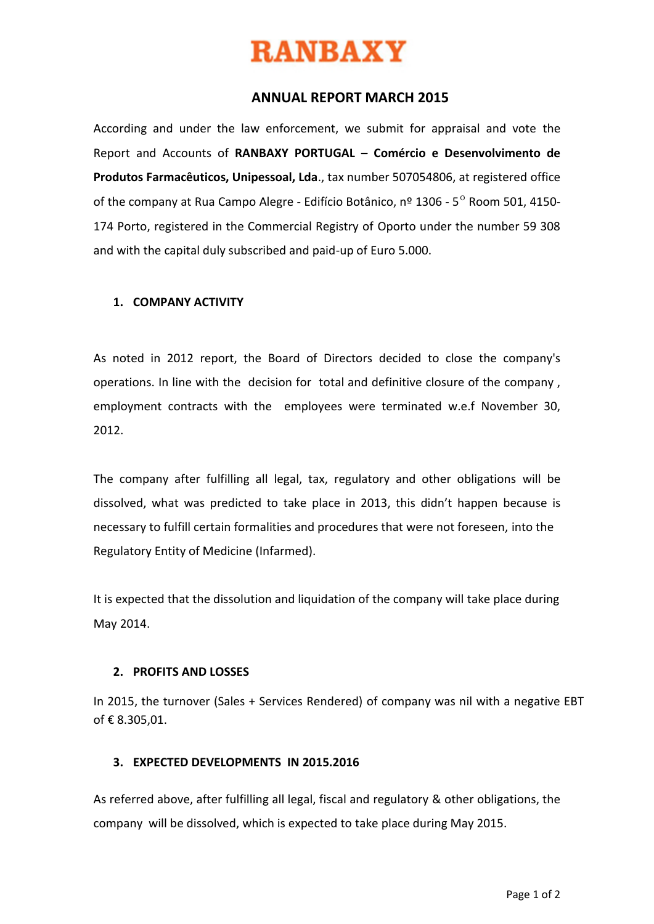

### **ANNUAL REPORT MARCH 2015**

According and under the law enforcement, we submit for appraisal and vote the Report and Accounts of **RANBAXY PORTUGAL – Comércio e Desenvolvimento de Produtos Farmacêuticos, Unipessoal, Lda**., tax number 507054806, at registered office of the company at Rua Campo Alegre - Edifício Botânico, nº 1306 -  $5^{\circ}$  Room 501, 4150-174 Porto, registered in the Commercial Registry of Oporto under the number 59 308 and with the capital duly subscribed and paid-up of Euro 5.000.

#### **1. COMPANY ACTIVITY**

As noted in 2012 report, the Board of Directors decided to close the company's operations. In line with the decision for total and definitive closure of the company , employment contracts with the employees were terminated w.e.f November 30, 2012.

The company after fulfilling all legal, tax, regulatory and other obligations will be dissolved, what was predicted to take place in 2013, this didn't happen because is necessary to fulfill certain formalities and procedures that were not foreseen, into the Regulatory Entity of Medicine (Infarmed).

It is expected that the dissolution and liquidation of the company will take place during May 2014.

#### **2. PROFITS AND LOSSES**

In 2015, the turnover (Sales + Services Rendered) of company was nil with a negative EBT of € 8.305,01.

#### **3. EXPECTED DEVELOPMENTS IN 2015.2016**

As referred above, after fulfilling all legal, fiscal and regulatory & other obligations, the company will be dissolved, which is expected to take place during May 2015.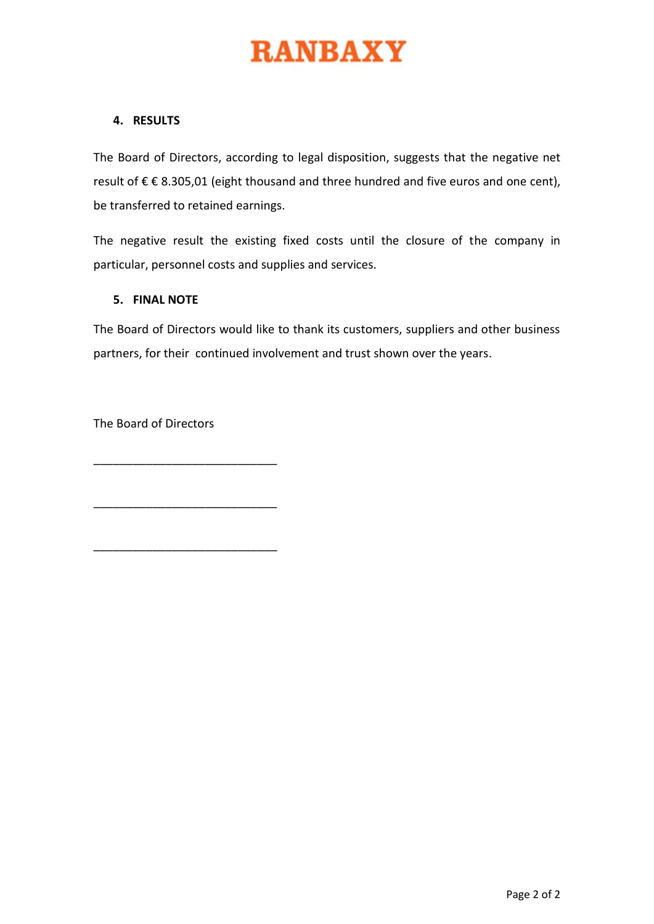#### **4. RESULTS**

The Board of Directors, according to legal disposition, suggests that the negative net result of € € 8.305,01 (eight thousand and three hundred and five euros and one cent), be transferred to retained earnings.

The negative result the existing fixed costs until the closure of the company in particular, personnel costs and supplies and services.

#### **5. FINAL NOTE**

The Board of Directors would like to thank its customers, suppliers and other business partners, for their continued involvement and trust shown over the years.

The Board of Directors

\_\_\_\_\_\_\_\_\_\_\_\_\_\_\_\_\_\_\_\_\_\_\_\_\_\_\_\_

\_\_\_\_\_\_\_\_\_\_\_\_\_\_\_\_\_\_\_\_\_\_\_\_\_\_\_\_

\_\_\_\_\_\_\_\_\_\_\_\_\_\_\_\_\_\_\_\_\_\_\_\_\_\_\_\_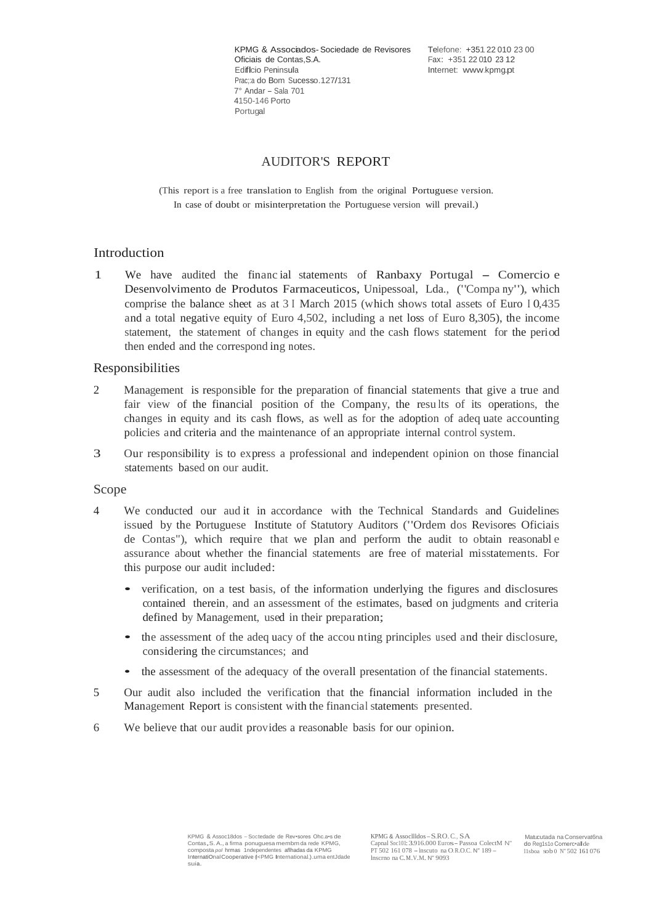KPMG & Associados-Sociedade de Revisores Telefone: +351 22 010 23 00<br>Oficiais de Contas S A<br>Fax: +351 22 010 23 12 Oficiais de Contas, S.A. Fax: +351 22 010 23 12<br>Edificio Peninsula<br>Internet: www.kpmg.pt Prac;:a do Bom Sucesso.127/131 7° Andar - Sala <sup>701</sup> 4150-146 Porto Portugal

Internet: [www.kpmg.pt](http://www.kpmg.pt/)

#### AUDITOR'S REPORT

(This report is a free translation to English from the original Portuguese version. In case of doubt or misinterpretation the Portuguese version will prevail.)

#### Introduction

<sup>1</sup> We have audited the financ ial statements of Ranbaxy Portugal - Comercio <sup>e</sup> Desenvolvimento de Produtos Farmaceuticos, Unipessoal, Lda., ("Compa ny"), which comprise the balance sheet as at 3 I March 2015 (which shows total assets of Euro <sup>I</sup> 0,435 and a total negative equity of Euro 4,502, including a net loss of Euro 8,305), the income statement, the statement of changes in equity and the cash flows statement for the period then ended and the correspond ing notes.

#### Responsibilities

- 2 Management is responsible for the preparation of financial statements that give a true and fair view of the financial position of the Company, the results of its operations, the changes in equity and its cash flows, as well as for the adoption of adeq uate accounting policies and criteria and the maintenance of an appropriate internal control system.
- 3 Our responsibility is to express a professional and independent opinion on those financial statements based on our audit.

#### Scope

- 4 We conducted our aud it in accordance with the Technical Standards and Guidelines issued by the Portuguese Institute of Statutory Auditors ("Ordem dos Revisores Oficiais de Contas"), which require that we plan and perform the audit to obtain reasonabl e assurance about whether the financial statements are free of material misstatements. For this purpose our audit included:
	- verification, on <sup>a</sup> test basis, of the information underlying the figures and disclosures contained therein, and an assessment of the estimates, based on judgments and criteria defined by Management, used in their preparation;
	- the assessment of the adeq uacy of the accounting principles used and their disclosure, considering the circumstances; and
	- the assessment of the adequacy of the overall presentation of the financial statements.
- 5 Our audit also included the verification that the financial information included in the Management Report is consistent with the financial statements presented.
- 6 We believe that our audit provides a reasonable basis for our opinion.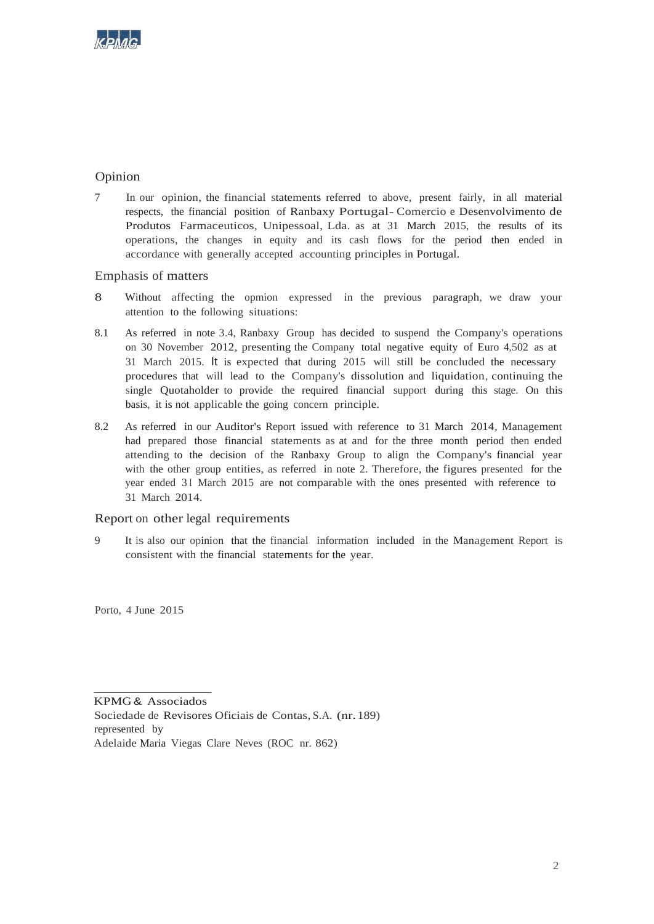

#### Opinion

7 In our opinion, the financial statements referred to above, present fairly, in all material respects, the financial position of Ranbaxy Portugal- Comercio e Desenvolvimento de Produtos Farmaceuticos, Unipessoal, Lda. as at 31 March 2015, the results of its operations, the changes in equity and its cash flows for the period then ended in accordance with generally accepted accounting principles in Portugal.

Emphasis of matters

- 8 Without affecting the opmion expressed in the previous paragraph, we draw your attention to the following situations:
- 8.1 As referred in note 3.4, Ranbaxy Group has decided to suspend the Company's operations on <sup>30</sup> November 2012, presenting the Company total negative equity of Euro 4,502 as at 31 March 2015. It is expected that during 2015 will still be concluded the necessary procedures that will lead to the Company's dissolution and liquidation, continuing the single Quotaholder to provide the required financial support during this stage. On this basis, it is not applicable the going concern principle.
- 8.2 As referred in our Auditor's Report issued with reference to <sup>31</sup> March 2014, Management had prepared those financial statements as at and for the three month period then ended attending to the decision of the Ranbaxy Group to align the Company's financial year with the other group entities, as referred in note 2. Therefore, the figures presented for the year ended 31 March 2015 are not comparable with the ones presented with reference to 31 March 2014.

#### Report on other legal requirements

9 It is also our opinion that the financial information included in the Management Report is consistent with the financial statements for the year.

Porto, 4 June 2015

KPMG & Associados Sociedade de Revisores Oficiais de Contas, S.A. (nr.189) represented by Adelaide Maria Viegas Clare Neves (ROC nr. 862)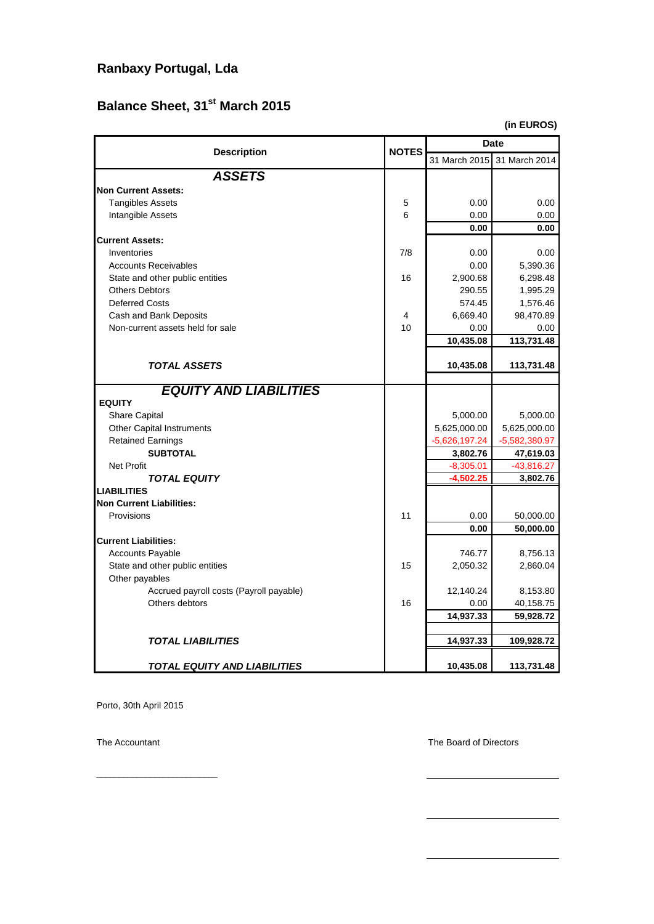# **Ranbaxy Portugal, Lda**

# **Balance Sheet, 31st March 2015**

**(in EUROS)**

| <b>Description</b>                      | <b>NOTES</b> | Date            |                 |  |  |
|-----------------------------------------|--------------|-----------------|-----------------|--|--|
|                                         |              | 31 March 2015   | 31 March 2014   |  |  |
| <b>ASSETS</b>                           |              |                 |                 |  |  |
| <b>Non Current Assets:</b>              |              |                 |                 |  |  |
| <b>Tangibles Assets</b>                 | 5            | 0.00            | 0.00            |  |  |
| Intangible Assets                       | 6            | 0.00            | 0.00            |  |  |
|                                         |              | 0.00            | 0.00            |  |  |
| <b>Current Assets:</b>                  |              |                 |                 |  |  |
| Inventories                             | 7/8          | 0.00            | 0.00            |  |  |
| <b>Accounts Receivables</b>             |              | 0.00            | 5,390.36        |  |  |
| State and other public entities         | 16           | 2,900.68        | 6,298.48        |  |  |
| <b>Others Debtors</b>                   |              | 290.55          | 1,995.29        |  |  |
| <b>Deferred Costs</b>                   |              | 574.45          | 1,576.46        |  |  |
| Cash and Bank Deposits                  | 4            | 6,669.40        | 98,470.89       |  |  |
| Non-current assets held for sale        | 10           | 0.00            | 0.00            |  |  |
|                                         |              | 10,435.08       | 113,731.48      |  |  |
|                                         |              |                 |                 |  |  |
| <b>TOTAL ASSETS</b>                     |              | 10,435.08       | 113,731.48      |  |  |
|                                         |              |                 |                 |  |  |
| <b>EQUITY AND LIABILITIES</b>           |              |                 |                 |  |  |
| <b>EQUITY</b>                           |              |                 |                 |  |  |
| <b>Share Capital</b>                    |              | 5.000.00        | 5.000.00        |  |  |
| <b>Other Capital Instruments</b>        |              | 5,625,000.00    | 5,625,000.00    |  |  |
| <b>Retained Earnings</b>                |              | $-5,626,197.24$ | $-5,582,380.97$ |  |  |
| <b>SUBTOTAL</b>                         |              | 3,802.76        | 47,619.03       |  |  |
| Net Profit                              |              | $-8,305.01$     | $-43,816.27$    |  |  |
| TOTAL EQUITY                            |              | $-4,502.25$     | 3,802.76        |  |  |
| <b>LIABILITIES</b>                      |              |                 |                 |  |  |
| <b>Non Current Liabilities:</b>         |              |                 |                 |  |  |
| Provisions                              | 11           | 0.00            | 50,000.00       |  |  |
|                                         |              | 0.00            | 50,000.00       |  |  |
| <b>Current Liabilities:</b>             |              |                 |                 |  |  |
| <b>Accounts Payable</b>                 |              | 746.77          | 8,756.13        |  |  |
| State and other public entities         | 15           | 2,050.32        | 2,860.04        |  |  |
| Other payables                          |              |                 |                 |  |  |
| Accrued payroll costs (Payroll payable) |              | 12,140.24       | 8,153.80        |  |  |
| Others debtors                          | 16           | 0.00            | 40,158.75       |  |  |
|                                         |              | 14,937.33       | 59,928.72       |  |  |
|                                         |              |                 |                 |  |  |
| <b>TOTAL LIABILITIES</b>                |              | 14,937.33       | 109,928.72      |  |  |
| <b>TOTAL EQUITY AND LIABILITIES</b>     |              | 10,435.08       | 113,731.48      |  |  |

Porto, 30th April 2015

\_\_\_\_\_\_\_\_\_\_\_\_\_\_\_\_\_\_\_\_\_\_\_\_\_\_\_

The Accountant The Accountant The Board of Directors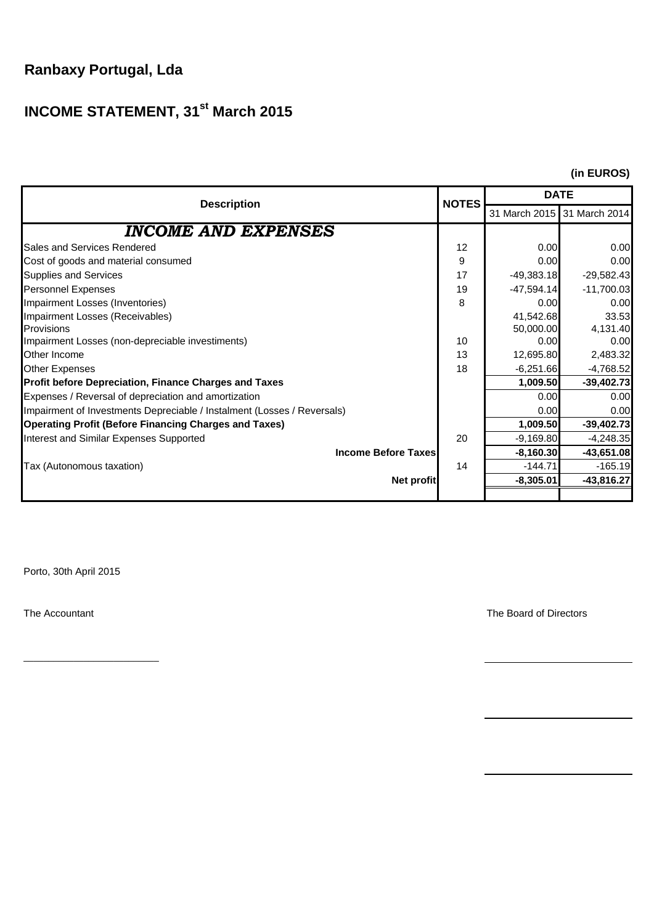# **Ranbaxy Portugal, Lda**

# **INCOME STATEMENT, 31st March 2015**

#### **(in EUROS)**

| <b>Description</b>                                                      | <b>NOTES</b> | <b>DATE</b>  |                             |  |  |
|-------------------------------------------------------------------------|--------------|--------------|-----------------------------|--|--|
|                                                                         |              |              | 31 March 2015 31 March 2014 |  |  |
| <b>INCOME AND EXPENSES</b>                                              |              |              |                             |  |  |
| Sales and Services Rendered                                             | 12           | 0.00         | 0.00                        |  |  |
| Cost of goods and material consumed                                     | 9            | 0.00         | 0.00                        |  |  |
| <b>Supplies and Services</b>                                            | 17           | $-49,383.18$ | $-29,582.43$                |  |  |
| <b>Personnel Expenses</b>                                               | 19           | $-47,594.14$ | $-11,700.03$                |  |  |
| Impairment Losses (Inventories)                                         | 8            | 0.00         | 0.00                        |  |  |
| Impairment Losses (Receivables)                                         |              | 41,542.68    | 33.53                       |  |  |
| <b>Provisions</b>                                                       |              | 50,000.00    | 4,131.40                    |  |  |
| Impairment Losses (non-depreciable investiments)                        | 10           | 0.00         | 0.00                        |  |  |
| Other Income                                                            | 13           | 12,695.80    | 2,483.32                    |  |  |
| <b>Other Expenses</b>                                                   | 18           | $-6,251.66$  | $-4,768.52$                 |  |  |
| <b>Profit before Depreciation, Finance Charges and Taxes</b>            |              | 1,009.50     | $-39,402.73$                |  |  |
| Expenses / Reversal of depreciation and amortization                    |              | 0.00         | 0.00                        |  |  |
| Impairment of Investments Depreciable / Instalment (Losses / Reversals) |              | 0.00         | 0.00                        |  |  |
| <b>Operating Profit (Before Financing Charges and Taxes)</b>            |              | 1,009.50     | $-39,402.73$                |  |  |
| Interest and Similar Expenses Supported                                 | 20           | $-9,169.80$  | $-4,248.35$                 |  |  |
| <b>Income Before Taxes</b>                                              |              | $-8,160.30$  | $-43,651.08$                |  |  |
| Tax (Autonomous taxation)                                               | 14           | $-144.71$    | $-165.19$                   |  |  |
| Net profit                                                              |              | $-8,305.01$  | $-43,816.27$                |  |  |
|                                                                         |              |              |                             |  |  |

Porto, 30th April 2015

\_\_\_\_\_\_\_\_\_\_\_\_\_\_\_\_\_\_\_\_\_\_\_\_\_\_\_

The Accountant The Accountant The Board of Directors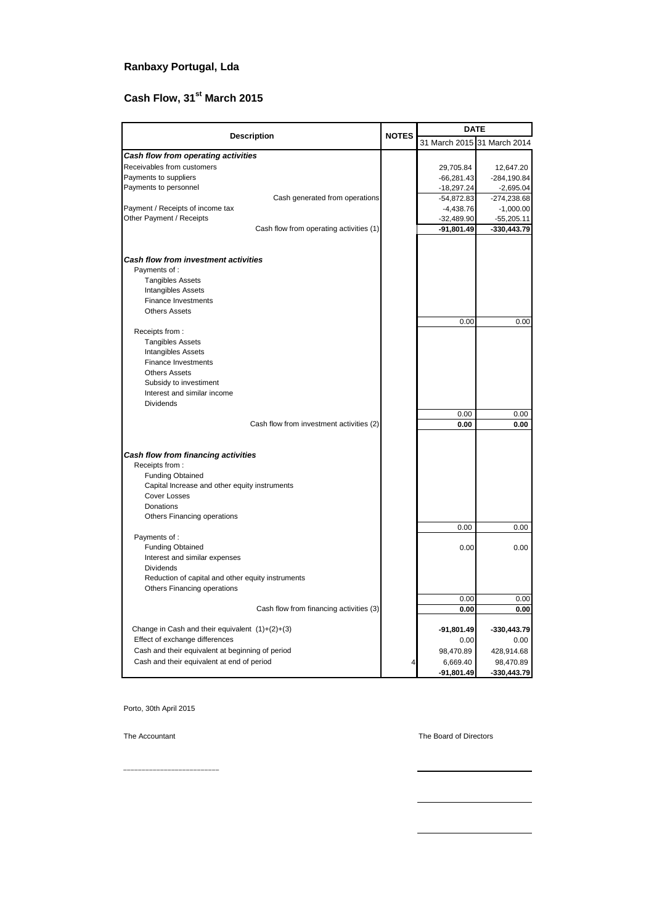#### **Ranbaxy Portugal, Lda**

# **Cash Flow, 31st March 2015**

|                                                                                  |              | <b>DATE</b>                 |               |  |  |
|----------------------------------------------------------------------------------|--------------|-----------------------------|---------------|--|--|
| <b>Description</b>                                                               | <b>NOTES</b> | 31 March 2015 31 March 2014 |               |  |  |
| Cash flow from operating activities                                              |              |                             |               |  |  |
| Receivables from customers                                                       |              | 29,705.84                   | 12,647.20     |  |  |
| Payments to suppliers                                                            |              | $-66,281.43$                | $-284,190.84$ |  |  |
| Payments to personnel                                                            |              | $-18,297.24$                | $-2,695.04$   |  |  |
| Cash generated from operations                                                   |              | $-54,872.83$                | $-274,238.68$ |  |  |
| Payment / Receipts of income tax                                                 |              | $-4,438.76$                 | $-1,000.00$   |  |  |
| Other Payment / Receipts                                                         |              | $-32,489.90$                | $-55,205.11$  |  |  |
| Cash flow from operating activities (1)                                          |              | $-91,801.49$                | -330,443.79   |  |  |
| <b>Cash flow from investment activities</b>                                      |              |                             |               |  |  |
| Payments of :                                                                    |              |                             |               |  |  |
| <b>Tangibles Assets</b>                                                          |              |                             |               |  |  |
| <b>Intangibles Assets</b>                                                        |              |                             |               |  |  |
| <b>Finance Investments</b>                                                       |              |                             |               |  |  |
| <b>Others Assets</b>                                                             |              |                             |               |  |  |
|                                                                                  |              | 0.00                        | 0.00          |  |  |
| Receipts from:                                                                   |              |                             |               |  |  |
| <b>Tangibles Assets</b>                                                          |              |                             |               |  |  |
| <b>Intangibles Assets</b><br><b>Finance Investments</b>                          |              |                             |               |  |  |
| <b>Others Assets</b>                                                             |              |                             |               |  |  |
| Subsidy to investiment                                                           |              |                             |               |  |  |
| Interest and similar income                                                      |              |                             |               |  |  |
| <b>Dividends</b>                                                                 |              |                             |               |  |  |
|                                                                                  |              | 0.00                        | 0.00          |  |  |
| Cash flow from investment activities (2)                                         |              | 0.00                        | 0.00          |  |  |
|                                                                                  |              |                             |               |  |  |
| Cash flow from financing activities                                              |              |                             |               |  |  |
| Receipts from:                                                                   |              |                             |               |  |  |
| <b>Funding Obtained</b>                                                          |              |                             |               |  |  |
| Capital Increase and other equity instruments                                    |              |                             |               |  |  |
| <b>Cover Losses</b>                                                              |              |                             |               |  |  |
| Donations                                                                        |              |                             |               |  |  |
| Others Financing operations                                                      |              |                             |               |  |  |
|                                                                                  |              | 0.00                        | 0.00          |  |  |
| Payments of :                                                                    |              |                             |               |  |  |
| <b>Funding Obtained</b>                                                          |              | 0.00                        | 0.00          |  |  |
| Interest and similar expenses                                                    |              |                             |               |  |  |
| <b>Dividends</b>                                                                 |              |                             |               |  |  |
| Reduction of capital and other equity instruments<br>Others Financing operations |              |                             |               |  |  |
|                                                                                  |              | 0.00                        | 0.00          |  |  |
| Cash flow from financing activities (3)                                          |              | 0.00                        | 0.00          |  |  |
|                                                                                  |              |                             |               |  |  |
| Change in Cash and their equivalent $(1)+(2)+(3)$                                |              | $-91,801.49$                | $-330,443.79$ |  |  |
| Effect of exchange differences                                                   |              | 0.00                        | 0.00          |  |  |
| Cash and their equivalent at beginning of period                                 |              | 98,470.89                   | 428,914.68    |  |  |
| Cash and their equivalent at end of period                                       |              | 6,669.40                    | 98,470.89     |  |  |
|                                                                                  |              | -91,801.49                  | $-330,443.79$ |  |  |

Porto, 30th April 2015

\_\_\_\_\_\_\_\_\_\_\_\_\_\_\_\_\_\_\_\_\_\_\_\_\_\_

The Accountant The Board of Directors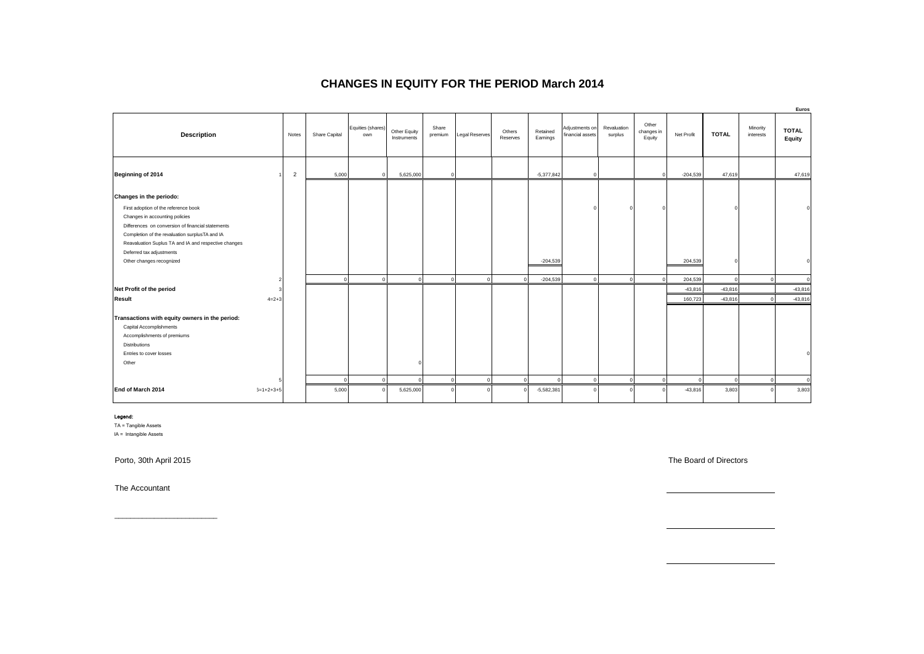#### **CHANGES IN EQUITY FOR THE PERIOD March 2014**

|                                                                                                                                                                                                          |                |                |               |                          |                             |                  |                       |                    |                          |                                    |                        |                               |                    |                     |                       | Euros                  |
|----------------------------------------------------------------------------------------------------------------------------------------------------------------------------------------------------------|----------------|----------------|---------------|--------------------------|-----------------------------|------------------|-----------------------|--------------------|--------------------------|------------------------------------|------------------------|-------------------------------|--------------------|---------------------|-----------------------|------------------------|
| <b>Description</b>                                                                                                                                                                                       |                | Notes          | Share Capital | Equities (shares)<br>own | Other Equity<br>Instruments | Share<br>premium | <b>Legal Reserves</b> | Others<br>Reserves | Retained<br>Earnings     | Adjustments on<br>financial assets | Revaluation<br>surplus | Other<br>changes in<br>Equity | Net Profit         | <b>TOTAL</b>        | Minority<br>interests | <b>TOTAL</b><br>Equity |
| Beginning of 2014                                                                                                                                                                                        |                | $\overline{2}$ | 5,000         | $\circ$                  | 5,625,000                   |                  |                       |                    | $-5,377,842$             | $\mathbf 0$                        |                        | $\Omega$                      | $-204,539$         | 47,619              |                       | 47,619                 |
| Changes in the periodo:<br>First adoption of the reference book<br>Changes in accounting policies<br>Differences on conversion of financial statements<br>Completion of the revaluation surplusTA and IA |                |                |               |                          |                             |                  |                       |                    |                          | $\Omega$                           |                        | $\Omega$                      |                    |                     |                       |                        |
| Reavaluation Suplus TA and IA and respective changes<br>Deferred tax adjustments<br>Other changes recognized                                                                                             | $\overline{2}$ |                | $\circ$       | $\circ$                  |                             | $\Omega$         | $\circ$               | $\circ$            | $-204,539$<br>$-204,539$ | $\circ$                            | $\overline{0}$         | $\Omega$                      | 204,539<br>204,539 | $\Omega$<br>$\circ$ | $\sqrt{2}$            |                        |
| Net Profit of the period                                                                                                                                                                                 | 3              |                |               |                          |                             |                  |                       |                    |                          |                                    |                        |                               | $-43,816$          | $-43,816$           |                       | $-43,816$              |
| <b>Result</b>                                                                                                                                                                                            | $4=2+3$        |                |               |                          |                             |                  |                       |                    |                          |                                    |                        |                               | 160,723            | $-43,816$           |                       | $-43,816$              |
| Transactions with equity owners in the period:<br>Capital Accomplishments<br>Accomplishments of premiums<br><b>Distributions</b><br>Entries to cover losses<br>Other                                     |                |                |               |                          |                             |                  |                       |                    |                          |                                    |                        |                               |                    |                     |                       |                        |
|                                                                                                                                                                                                          |                |                | $\Omega$      | $\overline{0}$           |                             | $\Omega$         | $\circ$               | $\circ$            | c                        | $^{\circ}$                         | $\mathbf 0$            |                               | $\Omega$           | $\circ$             |                       |                        |
| End of March 2014                                                                                                                                                                                        | $5=1+2+3+5$    |                | 5,000         | $\Omega$                 | 5,625,000                   |                  | $\Omega$              | $\Omega$           | $-5,582,381$             | $\Omega$                           |                        |                               | $-43,816$          | 3,803               |                       | 3,803                  |

#### Legend:

TA = Tangible Assets IA = Intangible Assets

Porto, 30th April 2015 The Board of Directors and the Board of Directors and the Board of Directors and the Board of Directors and the Board of Directors and the Board of Directors and the Board of Directors and the Board

The Accountant

\_\_\_\_\_\_\_\_\_\_\_\_\_\_\_\_\_\_\_\_\_\_\_\_\_\_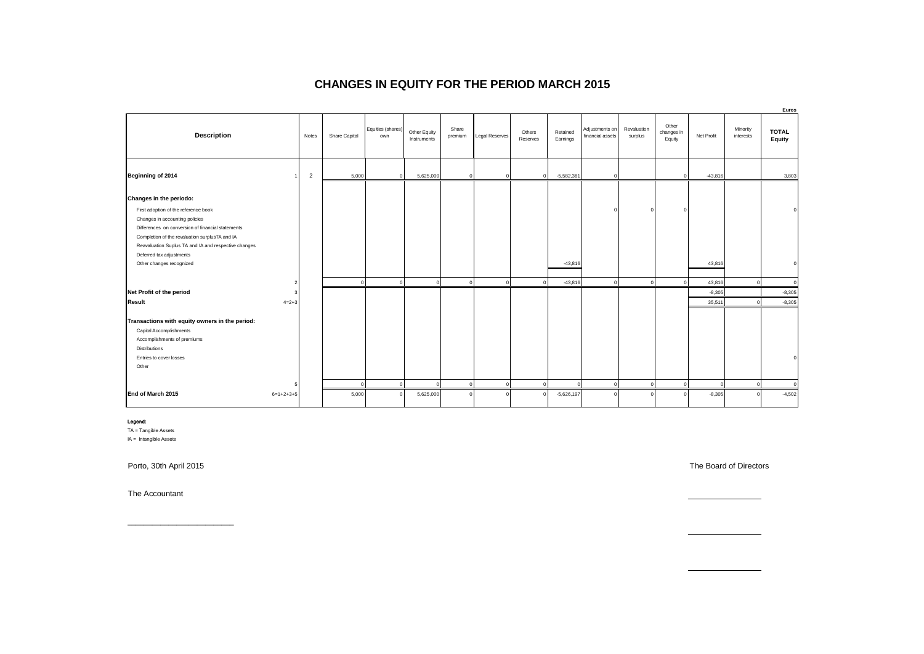#### **CHANGES IN EQUITY FOR THE PERIOD MARCH 2015**

|                                                                                                                                                                                               |             |                |               |                          |                             |                  |                |                    |                      |                                    |                        |                               |            |                       | Euros                  |
|-----------------------------------------------------------------------------------------------------------------------------------------------------------------------------------------------|-------------|----------------|---------------|--------------------------|-----------------------------|------------------|----------------|--------------------|----------------------|------------------------------------|------------------------|-------------------------------|------------|-----------------------|------------------------|
| <b>Description</b>                                                                                                                                                                            |             | Notes          | Share Capital | Equities (shares)<br>own | Other Equity<br>Instruments | Share<br>premium | Legal Reserves | Others<br>Reserves | Retained<br>Earnings | Adjustments on<br>financial assets | Revaluation<br>surplus | Other<br>changes in<br>Equity | Net Profit | Minority<br>interests | <b>TOTAL</b><br>Equity |
| Beginning of 2014                                                                                                                                                                             |             | $\overline{2}$ | 5,000         | $\circ$                  | 5,625,000                   | $\Omega$         |                | $\mathbf 0$        | $-5,582,381$         | $\mathbf 0$                        |                        | $\Omega$                      | $-43,816$  |                       | 3,803                  |
| Changes in the periodo:<br>First adoption of the reference book                                                                                                                               |             |                |               |                          |                             |                  |                |                    |                      | $\Omega$                           |                        |                               |            |                       |                        |
| Changes in accounting policies<br>Differences on conversion of financial statements<br>Completion of the revaluation surplusTA and IA<br>Reavaluation Suplus TA and IA and respective changes |             |                |               |                          |                             |                  |                |                    |                      |                                    |                        |                               |            |                       |                        |
| Deferred tax adjustments<br>Other changes recognized                                                                                                                                          |             |                |               |                          |                             |                  |                |                    | $-43,816$            |                                    |                        |                               | 43,816     |                       |                        |
|                                                                                                                                                                                               |             |                | $\mathbf{0}$  | $\circ$                  | $\Omega$                    | $\mathbf 0$      | $\circ$        | $\overline{0}$     | $-43,816$            | $\overline{0}$                     | $\mathbf 0$            | $\mathbf 0$                   | 43,816     | $\Omega$              | $\Omega$               |
| Net Profit of the period                                                                                                                                                                      |             |                |               |                          |                             |                  |                |                    |                      |                                    |                        |                               | $-8,305$   |                       | $-8,305$               |
| Result                                                                                                                                                                                        | $4=2+3$     |                |               |                          |                             |                  |                |                    |                      |                                    |                        |                               | 35,511     |                       | $-8,305$               |
| Transactions with equity owners in the period:<br>Capital Accomplishments<br>Accomplishments of premiums<br><b>Distributions</b><br>Entries to cover losses                                   |             |                |               |                          |                             |                  |                |                    |                      |                                    |                        |                               |            |                       |                        |
| Other                                                                                                                                                                                         |             |                |               |                          |                             |                  |                |                    |                      |                                    |                        |                               |            |                       |                        |
|                                                                                                                                                                                               |             |                | $\Omega$      | $\mathbf 0$              | $\Omega$                    | $\mathbf 0$      | $\circ$        | $\overline{0}$     | c                    | $\circ$                            | $\circ$                | $\Omega$                      | $\Omega$   | $\Omega$              | $\Omega$               |
| End of March 2015                                                                                                                                                                             | $6=1+2+3+5$ |                | 5,000         |                          | 5,625,000                   | O                |                | $\Omega$           | $-5,626,197$         | $\circ$                            |                        |                               | $-8,305$   |                       | $-4,502$               |

#### Legend:

TA = Tangible Assets

IA = Intangible Assets

\_\_\_\_\_\_\_\_\_\_\_\_\_\_\_\_\_\_\_\_\_\_\_\_\_\_

The Accountant

Porto, 30th April 2015 The Board of Directors

<u> Alexandria de la conte</u>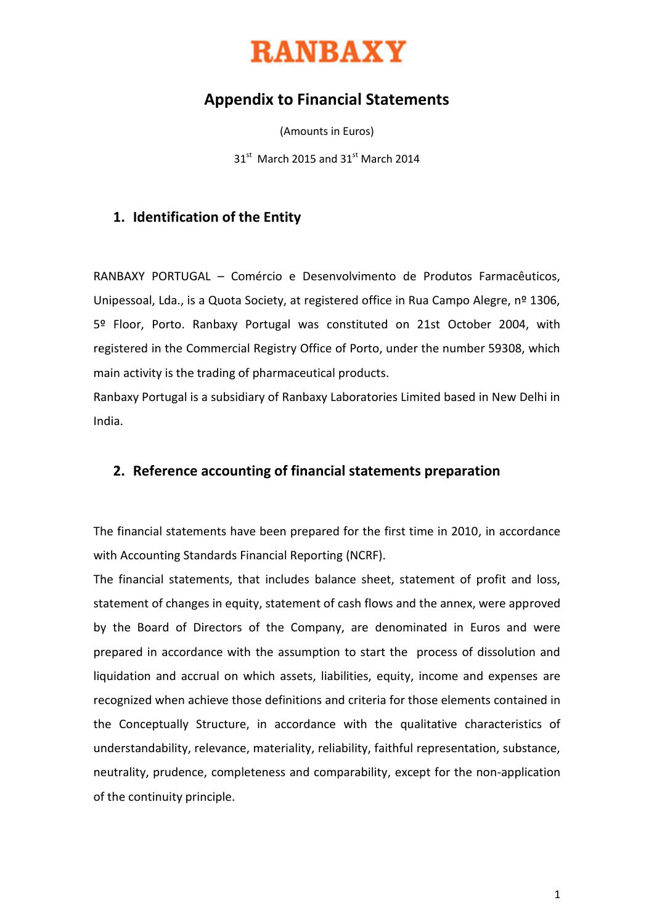

# **Appendix to Financial Statements**

(Amounts in Euros)

 $31<sup>st</sup>$  March 2015 and 31 $<sup>st</sup>$  March 2014</sup>

### **1. Identification of the Entity**

RANBAXY PORTUGAL – Comércio e Desenvolvimento de Produtos Farmacêuticos, Unipessoal, Lda., is a Quota Society, at registered office in Rua Campo Alegre, nº 1306, 5º Floor, Porto. Ranbaxy Portugal was constituted on 21st October 2004, with registered in the Commercial Registry Office of Porto, under the number 59308, which main activity is the trading of pharmaceutical products.

Ranbaxy Portugal is a subsidiary of Ranbaxy Laboratories Limited based in New Delhi in India.

#### **2. Reference accounting of financial statements preparation**

The financial statements have been prepared for the first time in 2010, in accordance with Accounting Standards Financial Reporting (NCRF).

The financial statements, that includes balance sheet, statement of profit and loss, statement of changes in equity, statement of cash flows and the annex, were approved by the Board of Directors of the Company, are denominated in Euros and were prepared in accordance with the assumption to start the process of dissolution and liquidation and accrual on which assets, liabilities, equity, income and expenses are recognized when achieve those definitions and criteria for those elements contained in the Conceptually Structure, in accordance with the qualitative characteristics of understandability, relevance, materiality, reliability, faithful representation, substance, neutrality, prudence, completeness and comparability, except for the non-application of the continuity principle.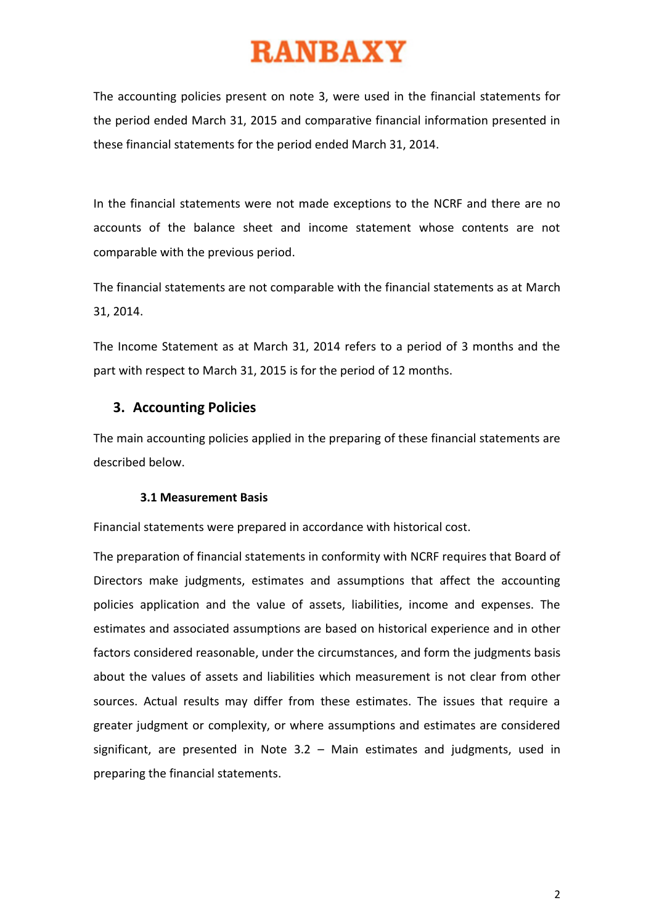The accounting policies present on note 3, were used in the financial statements for the period ended March 31, 2015 and comparative financial information presented in these financial statements for the period ended March 31, 2014.

In the financial statements were not made exceptions to the NCRF and there are no accounts of the balance sheet and income statement whose contents are not comparable with the previous period.

The financial statements are not comparable with the financial statements as at March 31, 2014.

The Income Statement as at March 31, 2014 refers to a period of 3 months and the part with respect to March 31, 2015 is for the period of 12 months.

### **3. Accounting Policies**

The main accounting policies applied in the preparing of these financial statements are described below.

#### **3.1 Measurement Basis**

Financial statements were prepared in accordance with historical cost.

The preparation of financial statements in conformity with NCRF requires that Board of Directors make judgments, estimates and assumptions that affect the accounting policies application and the value of assets, liabilities, income and expenses. The estimates and associated assumptions are based on historical experience and in other factors considered reasonable, under the circumstances, and form the judgments basis about the values of assets and liabilities which measurement is not clear from other sources. Actual results may differ from these estimates. The issues that require a greater judgment or complexity, or where assumptions and estimates are considered significant, are presented in Note 3.2 – Main estimates and judgments, used in preparing the financial statements.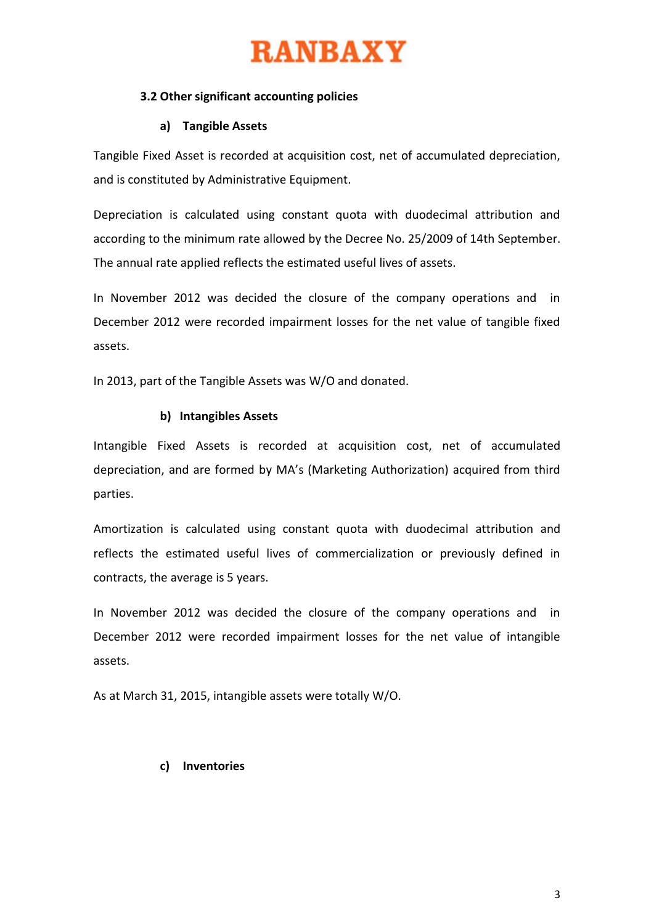#### **3.2 Other significant accounting policies**

#### **a) Tangible Assets**

Tangible Fixed Asset is recorded at acquisition cost, net of accumulated depreciation, and is constituted by Administrative Equipment.

Depreciation is calculated using constant quota with duodecimal attribution and according to the minimum rate allowed by the Decree No. 25/2009 of 14th September. The annual rate applied reflects the estimated useful lives of assets.

In November 2012 was decided the closure of the company operations and in December 2012 were recorded impairment losses for the net value of tangible fixed assets.

In 2013, part of the Tangible Assets was W/O and donated.

#### **b) Intangibles Assets**

Intangible Fixed Assets is recorded at acquisition cost, net of accumulated depreciation, and are formed by MA's (Marketing Authorization) acquired from third parties.

Amortization is calculated using constant quota with duodecimal attribution and reflects the estimated useful lives of commercialization or previously defined in contracts, the average is 5 years.

In November 2012 was decided the closure of the company operations and in December 2012 were recorded impairment losses for the net value of intangible assets.

As at March 31, 2015, intangible assets were totally W/O.

#### **c) Inventories**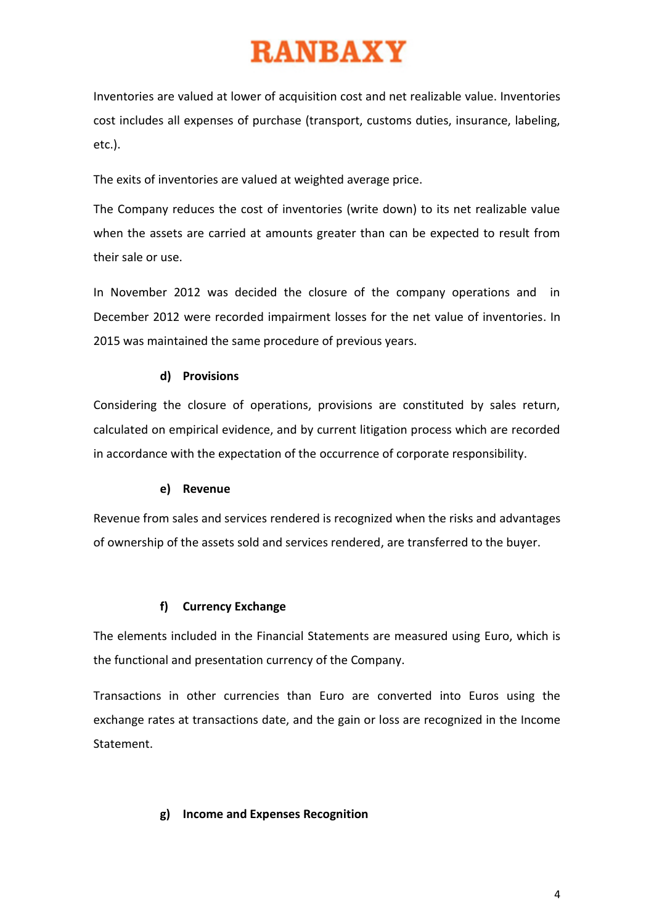Inventories are valued at lower of acquisition cost and net realizable value. Inventories cost includes all expenses of purchase (transport, customs duties, insurance, labeling, etc.).

The exits of inventories are valued at weighted average price.

The Company reduces the cost of inventories (write down) to its net realizable value when the assets are carried at amounts greater than can be expected to result from their sale or use.

In November 2012 was decided the closure of the company operations and in December 2012 were recorded impairment losses for the net value of inventories. In 2015 was maintained the same procedure of previous years.

### **d) Provisions**

Considering the closure of operations, provisions are constituted by sales return, calculated on empirical evidence, and by current litigation process which are recorded in accordance with the expectation of the occurrence of corporate responsibility.

#### **e) Revenue**

Revenue from sales and services rendered is recognized when the risks and advantages of ownership of the assets sold and services rendered, are transferred to the buyer.

#### **f) Currency Exchange**

The elements included in the Financial Statements are measured using Euro, which is the functional and presentation currency of the Company.

Transactions in other currencies than Euro are converted into Euros using the exchange rates at transactions date, and the gain or loss are recognized in the Income Statement.

#### **g) Income and Expenses Recognition**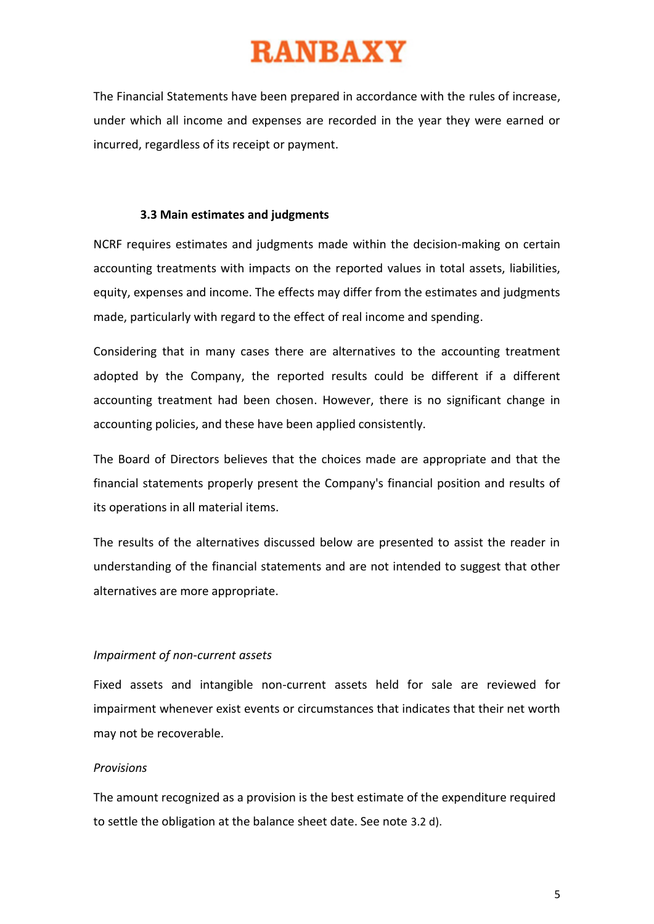The Financial Statements have been prepared in accordance with the rules of increase, under which all income and expenses are recorded in the year they were earned or incurred, regardless of its receipt or payment.

#### **3.3 Main estimates and judgments**

NCRF requires estimates and judgments made within the decision-making on certain accounting treatments with impacts on the reported values in total assets, liabilities, equity, expenses and income. The effects may differ from the estimates and judgments made, particularly with regard to the effect of real income and spending.

Considering that in many cases there are alternatives to the accounting treatment adopted by the Company, the reported results could be different if a different accounting treatment had been chosen. However, there is no significant change in accounting policies, and these have been applied consistently.

The Board of Directors believes that the choices made are appropriate and that the financial statements properly present the Company's financial position and results of its operations in all material items.

The results of the alternatives discussed below are presented to assist the reader in understanding of the financial statements and are not intended to suggest that other alternatives are more appropriate.

#### *Impairment of non-current assets*

Fixed assets and intangible non-current assets held for sale are reviewed for impairment whenever exist events or circumstances that indicates that their net worth may not be recoverable.

#### *Provisions*

The amount recognized as a provision is the best estimate of the expenditure required to settle the obligation at the balance sheet date. See note 3.2 d).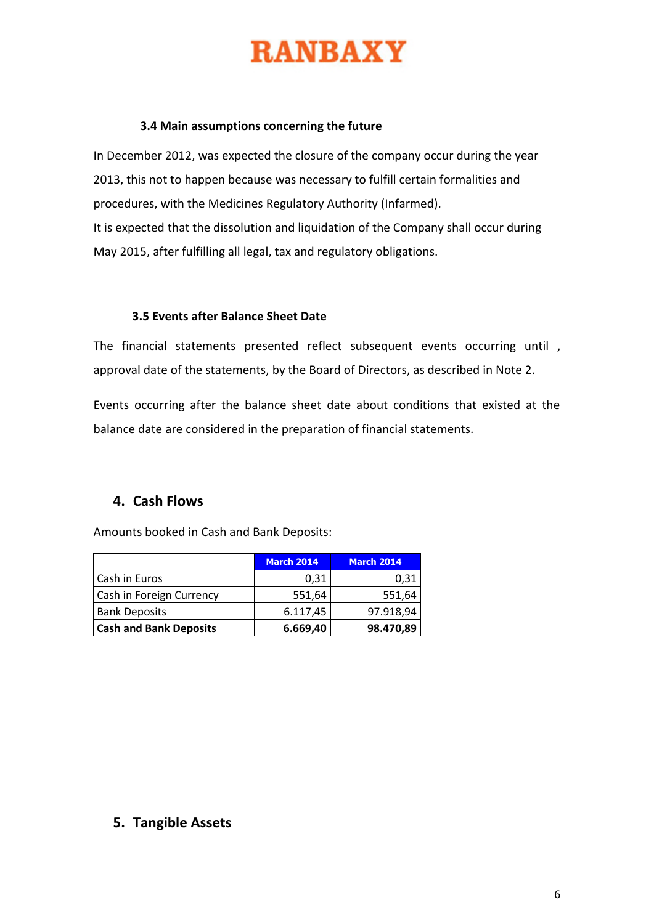#### **3.4 Main assumptions concerning the future**

In December 2012, was expected the closure of the company occur during the year 2013, this not to happen because was necessary to fulfill certain formalities and procedures, with the Medicines Regulatory Authority (Infarmed). It is expected that the dissolution and liquidation of the Company shall occur during May 2015, after fulfilling all legal, tax and regulatory obligations.

#### **3.5 Events after Balance Sheet Date**

The financial statements presented reflect subsequent events occurring until , approval date of the statements, by the Board of Directors, as described in Note 2.

Events occurring after the balance sheet date about conditions that existed at the balance date are considered in the preparation of financial statements.

### **4. Cash Flows**

Amounts booked in Cash and Bank Deposits:

|                               | <b>March 2014</b> | <b>March 2014</b> |
|-------------------------------|-------------------|-------------------|
| Cash in Euros                 | 0,31              | 0,31              |
| Cash in Foreign Currency      | 551,64            | 551,64            |
| <b>Bank Deposits</b>          | 6.117,45          | 97.918,94         |
| <b>Cash and Bank Deposits</b> | 6.669,40          | 98.470,89         |

#### **5. Tangible Assets**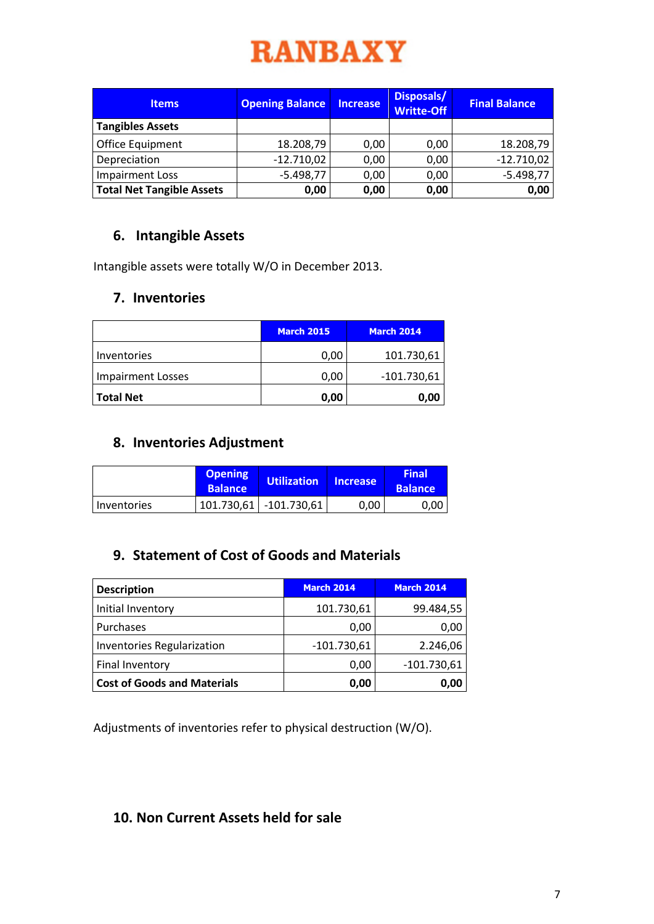| <b>Items</b>                     | <b>Opening Balance</b> | <b>Increase</b> | Disposals/<br><b>Writte-Off</b> | <b>Final Balance</b> |
|----------------------------------|------------------------|-----------------|---------------------------------|----------------------|
| <b>Tangibles Assets</b>          |                        |                 |                                 |                      |
| Office Equipment                 | 18.208,79              | 0,00            | 0,00                            | 18.208,79            |
| Depreciation                     | $-12.710,02$           | 0,00            | 0,00                            | $-12.710,02$         |
| <b>Impairment Loss</b>           | $-5.498,77$            | 0,00            | 0,00                            | $-5.498,77$          |
| <b>Total Net Tangible Assets</b> | 0,00                   | 0,00            | 0,00                            | 0,00                 |

# **6. Intangible Assets**

Intangible assets were totally W/O in December 2013.

# **7. Inventories**

|                          | <b>March 2015</b> | <b>March 2014</b> |
|--------------------------|-------------------|-------------------|
| Inventories              | 0,00              | 101.730,61        |
| <b>Impairment Losses</b> | 0,00              | $-101.730,61$     |
| <b>Total Net</b>         | 0,00              | 0,00              |

# **8. Inventories Adjustment**

|               | <b>Opening</b><br><b>Balance</b> | <b>Utilization</b>     | <b>Increase</b> | <b>Final</b><br><b>Balance</b> |
|---------------|----------------------------------|------------------------|-----------------|--------------------------------|
| l Inventories |                                  | 101.730,61 -101.730,61 | 0,00            | 0.00                           |

# **9. Statement of Cost of Goods and Materials**

| <b>Description</b>                 | <b>March 2014</b> | <b>March 2014</b> |
|------------------------------------|-------------------|-------------------|
| Initial Inventory                  | 101.730,61        | 99.484,55         |
| Purchases                          | 0,00              | 0,00              |
| <b>Inventories Regularization</b>  | $-101.730,61$     | 2.246,06          |
| Final Inventory                    | 0,00              | $-101.730,61$     |
| <b>Cost of Goods and Materials</b> | 0.00              | 0,00              |

Adjustments of inventories refer to physical destruction (W/O).

# **10. Non Current Assets held for sale**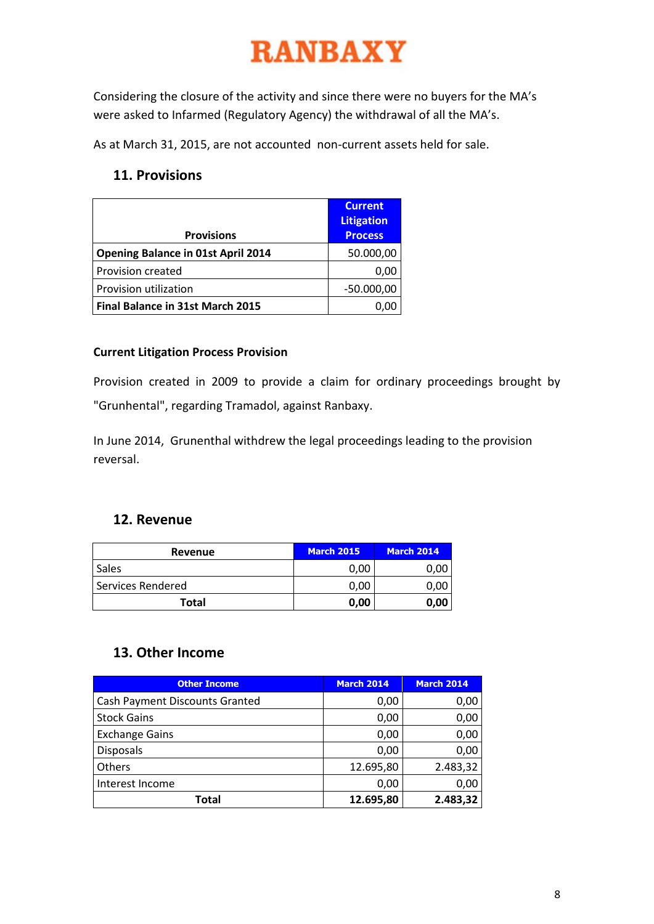Considering the closure of the activity and since there were no buyers for the MA's were asked to Infarmed (Regulatory Agency) the withdrawal of all the MA's.

As at March 31, 2015, are not accounted non-current assets held for sale.

# **11. Provisions**

| <b>Provisions</b>                         | <b>Current</b><br><b>Litigation</b><br><b>Process</b> |
|-------------------------------------------|-------------------------------------------------------|
| <b>Opening Balance in 01st April 2014</b> | 50.000,00                                             |
| Provision created                         | 0,00                                                  |
| Provision utilization                     | $-50.000,00$                                          |
| Final Balance in 31st March 2015          |                                                       |

### **Current Litigation Process Provision**

Provision created in 2009 to provide a claim for ordinary proceedings brought by "Grunhental", regarding Tramadol, against Ranbaxy.

In June 2014, Grunenthal withdrew the legal proceedings leading to the provision reversal.

# **12. Revenue**

| Revenue           | <b>March 2015</b> | <b>March 2014</b> |
|-------------------|-------------------|-------------------|
| Sales             | 0,00              |                   |
| Services Rendered | 0,00              |                   |
| Total             | 0,00              | 0,00              |

# **13. Other Income**

| <b>Other Income</b>                   | <b>March 2014</b> | <b>March 2014</b> |
|---------------------------------------|-------------------|-------------------|
| <b>Cash Payment Discounts Granted</b> | 0,00              | 0,00              |
| <b>Stock Gains</b>                    | 0,00              | 0,00              |
| <b>Exchange Gains</b>                 | 0,00              | 0,00              |
| <b>Disposals</b>                      | 0,00              | 0,00              |
| Others                                | 12.695,80         | 2.483,32          |
| Interest Income                       | 0,00              | 0,00              |
| <b>Total</b>                          | 12.695,80         | 2.483,32          |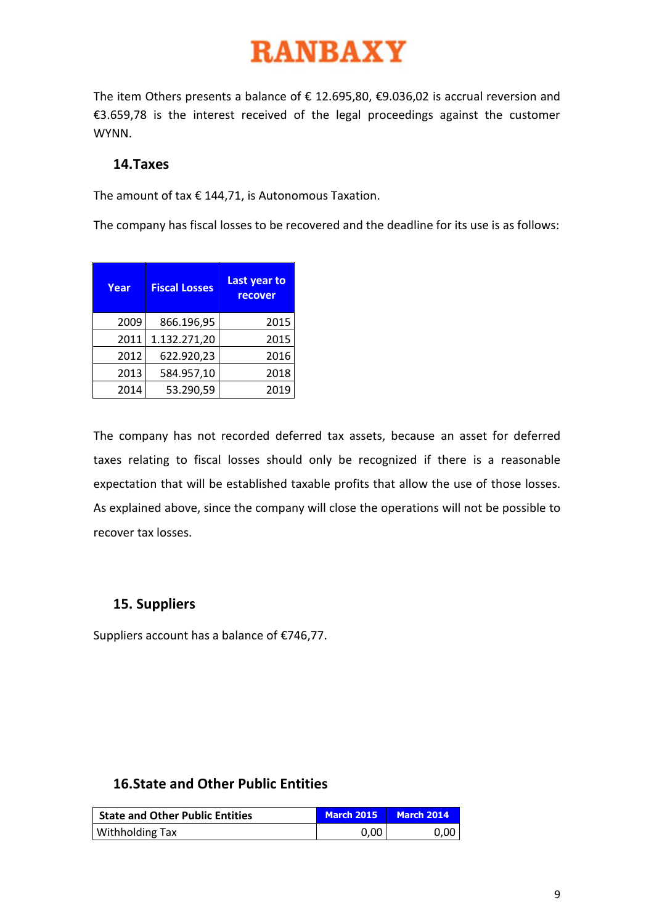The item Others presents a balance of  $\epsilon$  12.695,80,  $\epsilon$ 9.036,02 is accrual reversion and €3.659,78 is the interest received of the legal proceedings against the customer WYNN.

### **14.Taxes**

The amount of tax  $\epsilon$  144,71, is Autonomous Taxation.

The company has fiscal losses to be recovered and the deadline for its use is as follows:

| Year | <b>Fiscal Losses</b> | Last year to<br>recover |
|------|----------------------|-------------------------|
| 2009 | 866.196,95           | 2015                    |
| 2011 | 1.132.271,20         | 2015                    |
| 2012 | 622.920,23           | 2016                    |
| 2013 | 584.957,10           | 2018                    |
| 2014 | 53.290,59            | 2019                    |

The company has not recorded deferred tax assets, because an asset for deferred taxes relating to fiscal losses should only be recognized if there is a reasonable expectation that will be established taxable profits that allow the use of those losses. As explained above, since the company will close the operations will not be possible to recover tax losses.

# **15. Suppliers**

Suppliers account has a balance of €746,77.

# **16.State and Other Public Entities**

| <b>State and Other Public Entities</b> | <b>March 2015</b> | <b>March 2014</b> |  |
|----------------------------------------|-------------------|-------------------|--|
| <b>Withholding Tax</b>                 | 0.00              | 0.00 <sub>1</sub> |  |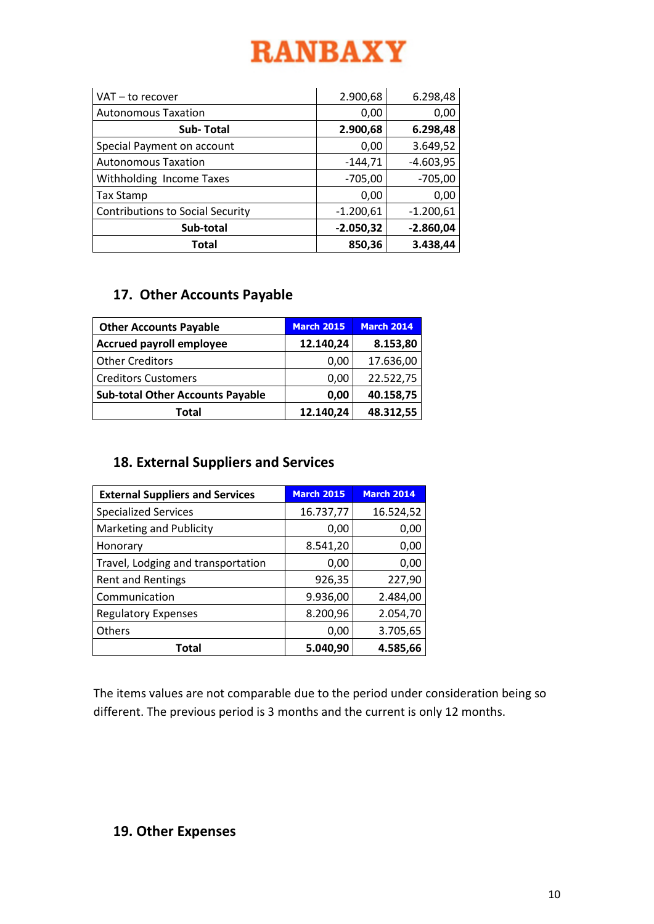| VAT - to recover                        | 2.900,68    | 6.298,48    |
|-----------------------------------------|-------------|-------------|
| <b>Autonomous Taxation</b>              | 0,00        | 0,00        |
| <b>Sub-Total</b>                        | 2.900,68    | 6.298,48    |
| Special Payment on account              | 0,00        | 3.649,52    |
| <b>Autonomous Taxation</b>              | $-144,71$   | $-4.603,95$ |
| Withholding Income Taxes                | $-705,00$   | $-705,00$   |
| <b>Tax Stamp</b>                        | 0,00        | 0,00        |
| <b>Contributions to Social Security</b> | $-1.200,61$ | $-1.200,61$ |
| Sub-total                               | $-2.050,32$ | $-2.860,04$ |
| Total                                   | 850,36      | 3.438,44    |

# **17. Other Accounts Payable**

| <b>Other Accounts Payable</b>           | <b>March 2015</b> | <b>March 2014</b> |
|-----------------------------------------|-------------------|-------------------|
| <b>Accrued payroll employee</b>         | 12.140,24         | 8.153,80          |
| <b>Other Creditors</b>                  | 0,00              | 17.636,00         |
| <b>Creditors Customers</b>              | 0,00              | 22.522,75         |
| <b>Sub-total Other Accounts Payable</b> | 0,00              | 40.158,75         |
| Total                                   | 12.140,24         | 48.312,55         |

# **18. External Suppliers and Services**

| <b>External Suppliers and Services</b> | <b>March 2015</b> | <b>March 2014</b> |
|----------------------------------------|-------------------|-------------------|
| <b>Specialized Services</b>            | 16.737,77         | 16.524,52         |
| Marketing and Publicity                | 0,00              | 0,00              |
| Honorary                               | 8.541,20          | 0,00              |
| Travel, Lodging and transportation     | 0,00              | 0,00              |
| <b>Rent and Rentings</b>               | 926,35            | 227,90            |
| Communication                          | 9.936,00          | 2.484,00          |
| <b>Regulatory Expenses</b>             | 8.200,96          | 2.054,70          |
| Others                                 | 0,00              | 3.705,65          |
| Total                                  | 5.040,90          | 4.585,66          |

The items values are not comparable due to the period under consideration being so different. The previous period is 3 months and the current is only 12 months.

# **19. Other Expenses**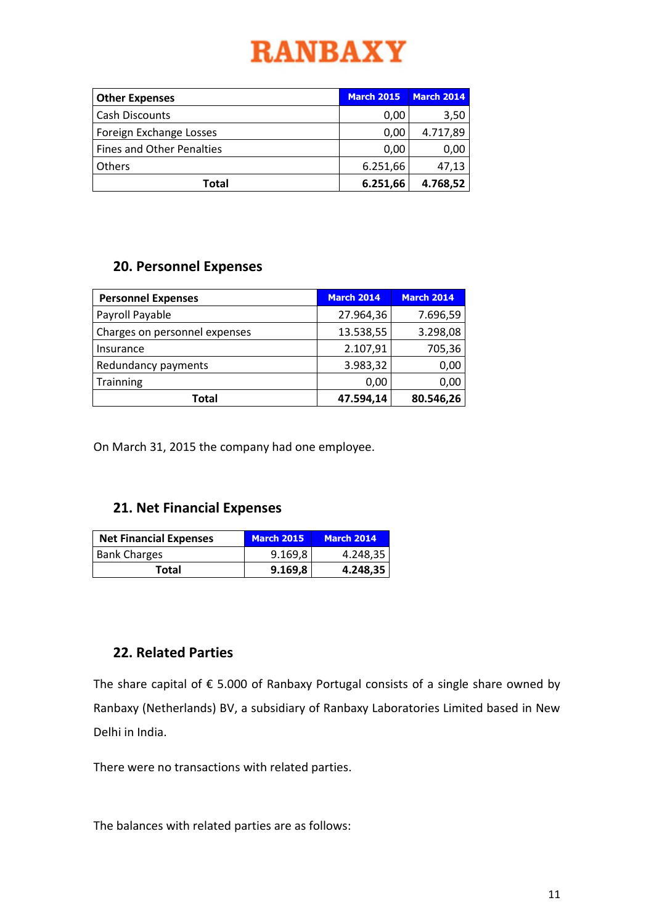| <b>Other Expenses</b>            | <b>March 2015</b> | <b>March 2014</b> |
|----------------------------------|-------------------|-------------------|
| <b>Cash Discounts</b>            | 0,00              | 3,50              |
| Foreign Exchange Losses          | 0,00              | 4.717,89          |
| <b>Fines and Other Penalties</b> | 0,00              | 0,00              |
| <b>Others</b>                    | 6.251,66          | 47,13             |
| Total                            | 6.251,66          | 4.768,52          |

### **20. Personnel Expenses**

| <b>Personnel Expenses</b>     | <b>March 2014</b> | <b>March 2014</b> |
|-------------------------------|-------------------|-------------------|
| Payroll Payable               | 27.964,36         | 7.696,59          |
| Charges on personnel expenses | 13.538,55         | 3.298,08          |
| Insurance                     | 2.107,91          | 705,36            |
| Redundancy payments           | 3.983,32          | 0,00              |
| Trainning                     | 0,00              | 0,00              |
| Total                         | 47.594,14         | 80.546,26         |

On March 31, 2015 the company had one employee.

# **21. Net Financial Expenses**

| <b>Net Financial Expenses</b> | <b>March 2015</b> | <b>March 2014</b> |
|-------------------------------|-------------------|-------------------|
| <b>Bank Charges</b>           | 9.169,8           | 4.248,35          |
| Total                         | 9.169,8           | 4.248,35          |

# **22. Related Parties**

The share capital of  $\epsilon$  5.000 of Ranbaxy Portugal consists of a single share owned by Ranbaxy (Netherlands) BV, a subsidiary of Ranbaxy Laboratories Limited based in New Delhi in India.

There were no transactions with related parties.

The balances with related parties are as follows: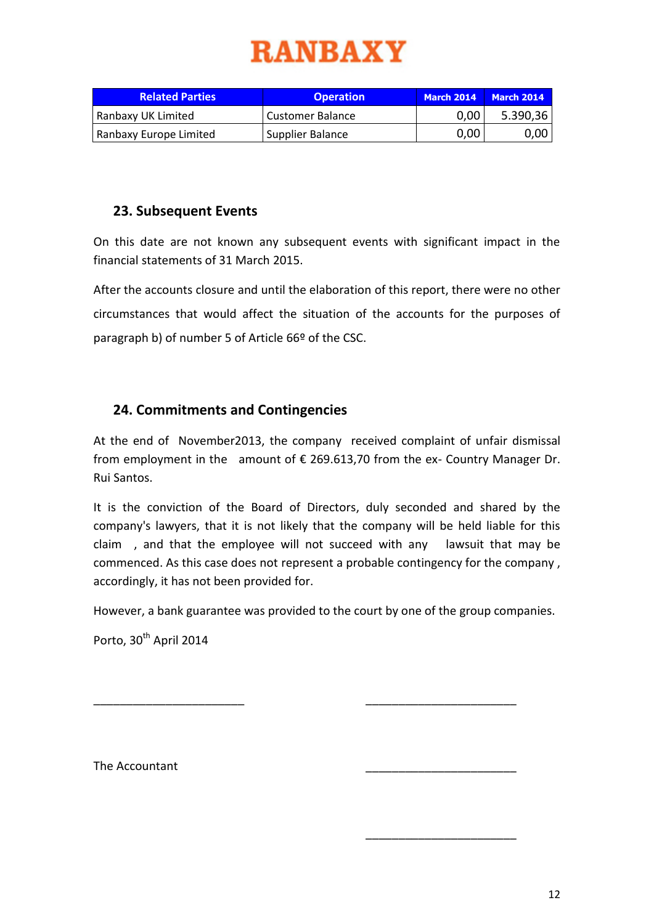| <b>Related Parties</b> | <b>Operation</b>        | <b>March 2014</b> | <b>March 2014</b> |
|------------------------|-------------------------|-------------------|-------------------|
| Ranbaxy UK Limited     | <b>Customer Balance</b> | 0,00              | 5.390,36          |
| Ranbaxy Europe Limited | Supplier Balance        | 0,00              | 0.00              |

# **23. Subsequent Events**

On this date are not known any subsequent events with significant impact in the financial statements of 31 March 2015.

After the accounts closure and until the elaboration of this report, there were no other circumstances that would affect the situation of the accounts for the purposes of paragraph b) of number 5 of Article 66º of the CSC.

# **24. Commitments and Contingencies**

At the end of November2013, the company received complaint of unfair dismissal from employment in the amount of  $\epsilon$  269.613,70 from the ex- Country Manager Dr. Rui Santos.

It is the conviction of the Board of Directors, duly seconded and shared by the company's lawyers, that it is not likely that the company will be held liable for this claim , and that the employee will not succeed with any lawsuit that may be commenced. As this case does not represent a probable contingency for the company , accordingly, it has not been provided for.

However, a bank guarantee was provided to the court by one of the group companies.

\_\_\_\_\_\_\_\_\_\_\_\_\_\_\_\_\_\_\_\_\_\_\_ \_\_\_\_\_\_\_\_\_\_\_\_\_\_\_\_\_\_\_\_\_\_\_

Porto, 30<sup>th</sup> April 2014

The Accountant

\_\_\_\_\_\_\_\_\_\_\_\_\_\_\_\_\_\_\_\_\_\_\_